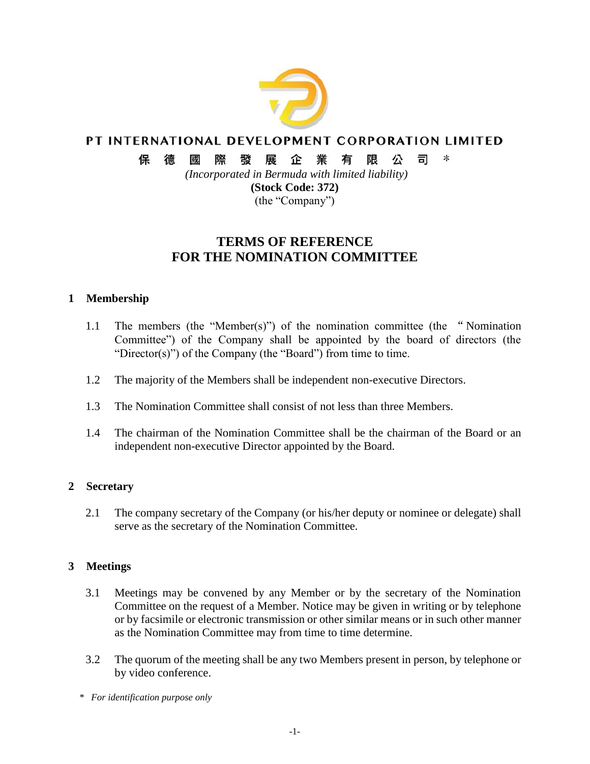

### PT INTERNATIONAL DEVELOPMENT CORPORATION LIMITED

 $\ast$ 保 徳 或 際 發展企業 有 限 公 司

> *(Incorporated in Bermuda with limited liability)* **(Stock Code: 372)**

(the "Company")

# **TERMS OF REFERENCE FOR THE NOMINATION COMMITTEE**

### **1 Membership**

- 1.1 The members (the "Member(s)") of the nomination committee (the "Nomination Committee") of the Company shall be appointed by the board of directors (the "Director(s)") of the Company (the "Board") from time to time.
- 1.2 The majority of the Members shall be independent non-executive Directors.
- 1.3 The Nomination Committee shall consist of not less than three Members.
- 1.4 The chairman of the Nomination Committee shall be the chairman of the Board or an independent non-executive Director appointed by the Board.

## **2 Secretary**

2.1 The company secretary of the Company (or his/her deputy or nominee or delegate) shall serve as the secretary of the Nomination Committee.

## **3 Meetings**

- 3.1 Meetings may be convened by any Member or by the secretary of the Nomination Committee on the request of a Member. Notice may be given in writing or by telephone or by facsimile or electronic transmission or other similar means or in such other manner as the Nomination Committee may from time to time determine.
- 3.2 The quorum of the meeting shall be any two Members present in person, by telephone or by video conference.
- *\* For identification purpose only*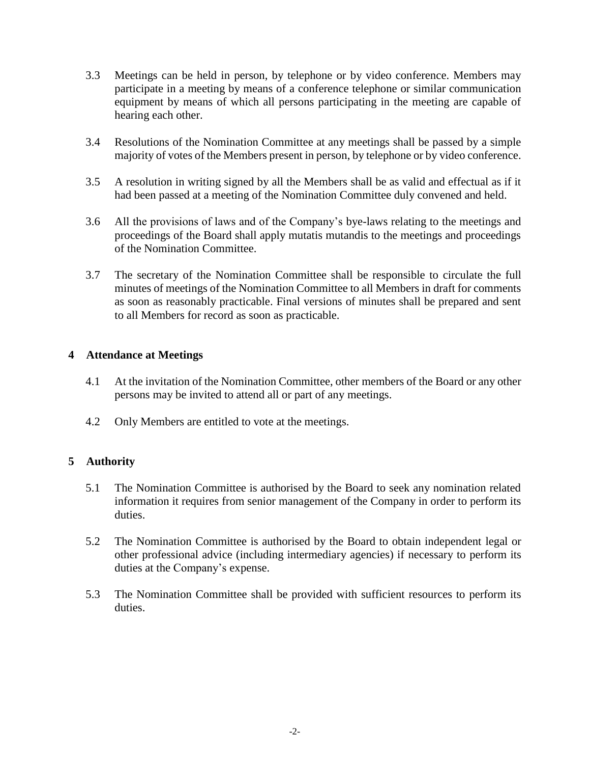- 3.3 Meetings can be held in person, by telephone or by video conference. Members may participate in a meeting by means of a conference telephone or similar communication equipment by means of which all persons participating in the meeting are capable of hearing each other.
- 3.4 Resolutions of the Nomination Committee at any meetings shall be passed by a simple majority of votes of the Members present in person, by telephone or by video conference.
- 3.5 A resolution in writing signed by all the Members shall be as valid and effectual as if it had been passed at a meeting of the Nomination Committee duly convened and held.
- 3.6 All the provisions of laws and of the Company's bye-laws relating to the meetings and proceedings of the Board shall apply mutatis mutandis to the meetings and proceedings of the Nomination Committee.
- 3.7 The secretary of the Nomination Committee shall be responsible to circulate the full minutes of meetings of the Nomination Committee to all Members in draft for comments as soon as reasonably practicable. Final versions of minutes shall be prepared and sent to all Members for record as soon as practicable.

### **4 Attendance at Meetings**

- 4.1 At the invitation of the Nomination Committee, other members of the Board or any other persons may be invited to attend all or part of any meetings.
- 4.2 Only Members are entitled to vote at the meetings.

### **5 Authority**

- 5.1 The Nomination Committee is authorised by the Board to seek any nomination related information it requires from senior management of the Company in order to perform its duties.
- 5.2 The Nomination Committee is authorised by the Board to obtain independent legal or other professional advice (including intermediary agencies) if necessary to perform its duties at the Company's expense.
- 5.3 The Nomination Committee shall be provided with sufficient resources to perform its duties.